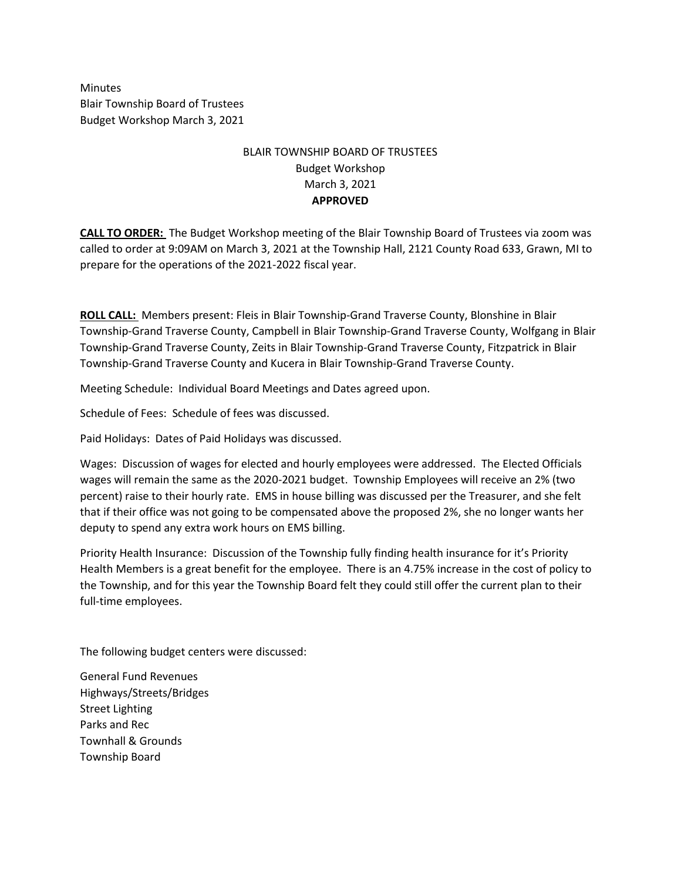Minutes Blair Township Board of Trustees Budget Workshop March 3, 2021

## BLAIR TOWNSHIP BOARD OF TRUSTEES Budget Workshop March 3, 2021 **APPROVED**

**CALL TO ORDER:** The Budget Workshop meeting of the Blair Township Board of Trustees via zoom was called to order at 9:09AM on March 3, 2021 at the Township Hall, 2121 County Road 633, Grawn, MI to prepare for the operations of the 2021-2022 fiscal year.

**ROLL CALL:** Members present: Fleis in Blair Township-Grand Traverse County, Blonshine in Blair Township-Grand Traverse County, Campbell in Blair Township-Grand Traverse County, Wolfgang in Blair Township-Grand Traverse County, Zeits in Blair Township-Grand Traverse County, Fitzpatrick in Blair Township-Grand Traverse County and Kucera in Blair Township-Grand Traverse County.

Meeting Schedule: Individual Board Meetings and Dates agreed upon.

Schedule of Fees: Schedule of fees was discussed.

Paid Holidays: Dates of Paid Holidays was discussed.

Wages: Discussion of wages for elected and hourly employees were addressed. The Elected Officials wages will remain the same as the 2020-2021 budget. Township Employees will receive an 2% (two percent) raise to their hourly rate. EMS in house billing was discussed per the Treasurer, and she felt that if their office was not going to be compensated above the proposed 2%, she no longer wants her deputy to spend any extra work hours on EMS billing.

Priority Health Insurance: Discussion of the Township fully finding health insurance for it's Priority Health Members is a great benefit for the employee. There is an 4.75% increase in the cost of policy to the Township, and for this year the Township Board felt they could still offer the current plan to their full-time employees.

The following budget centers were discussed:

General Fund Revenues Highways/Streets/Bridges Street Lighting Parks and Rec Townhall & Grounds Township Board